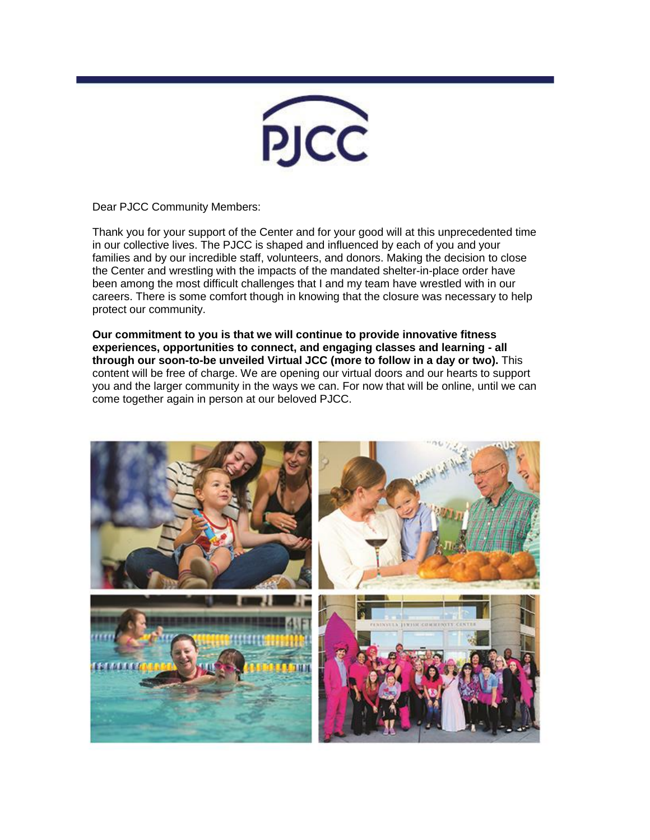

Dear PJCC Community Members:

Thank you for your support of the Center and for your good will at this unprecedented time in our collective lives. The PJCC is shaped and influenced by each of you and your families and by our incredible staff, volunteers, and donors. Making the decision to close the Center and wrestling with the impacts of the mandated shelter-in-place order have been among the most difficult challenges that I and my team have wrestled with in our careers. There is some comfort though in knowing that the closure was necessary to help protect our community.

**Our commitment to you is that we will continue to provide innovative fitness experiences, opportunities to connect, and engaging classes and learning - all through our soon-to-be unveiled Virtual JCC (more to follow in a day or two).** This content will be free of charge. We are opening our virtual doors and our hearts to support you and the larger community in the ways we can. For now that will be online, until we can come together again in person at our beloved PJCC.

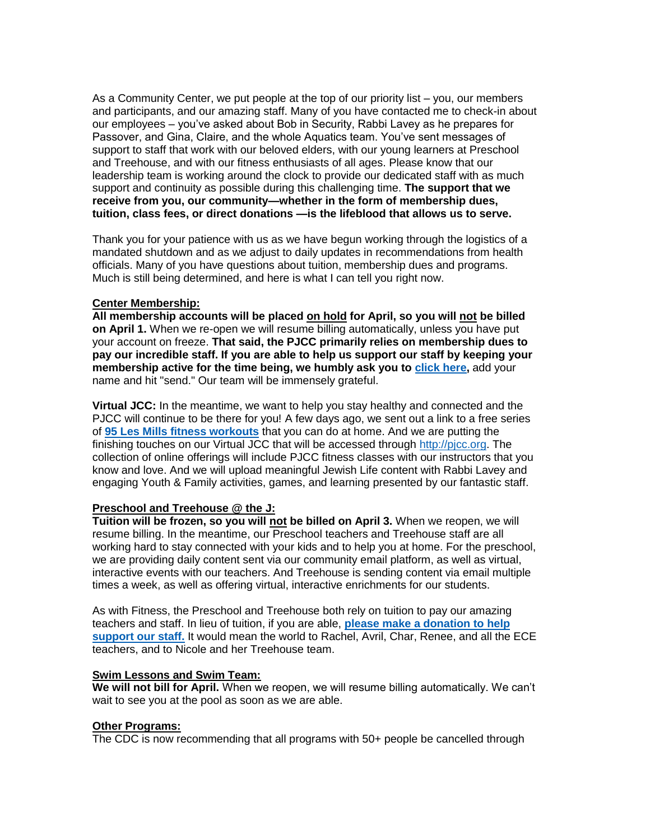As a Community Center, we put people at the top of our priority list – you, our members and participants, and our amazing staff. Many of you have contacted me to check-in about our employees – you've asked about Bob in Security, Rabbi Lavey as he prepares for Passover, and Gina, Claire, and the whole Aquatics team. You've sent messages of support to staff that work with our beloved elders, with our young learners at Preschool and Treehouse, and with our fitness enthusiasts of all ages. Please know that our leadership team is working around the clock to provide our dedicated staff with as much support and continuity as possible during this challenging time. **The support that we receive from you, our community—whether in the form of membership dues, tuition, class fees, or direct donations —is the lifeblood that allows us to serve.**

Thank you for your patience with us as we have begun working through the logistics of a mandated shutdown and as we adjust to daily updates in recommendations from health officials. Many of you have questions about tuition, membership dues and programs. Much is still being determined, and here is what I can tell you right now.

## **Center Membership:**

**All membership accounts will be placed on hold for April, so you will not be billed on April 1.** When we re-open we will resume billing automatically, unless you have put your account on freeze. **That said, the PJCC primarily relies on membership dues to pay our incredible staff. If you are able to help us support our staff by keeping your membership active for the time being, we humbly ask you to [click here,](mailto:memberservices@pjcc.org?subject=Keep%20My%20Membership%20Active%20in%20Support%20of%20Staff)** add your name and hit "send." Our team will be immensely grateful.

**Virtual JCC:** In the meantime, we want to help you stay healthy and connected and the PJCC will continue to be there for you! A few days ago, we sent out a link to a free series of **[95 Les Mills fitness workouts](https://pjcc.acemlna.com/lt.php?notrack=1¬rack=1&s=bad97c655476f96a390a72c05a742011&i=150A331A76A942)** that you can do at home. And we are putting the finishing touches on our Virtual JCC that will be accessed through [http://pjcc.org.](https://pjcc.acemlna.com/lt.php?notrack=1¬rack=1&s=bad97c655476f96a390a72c05a742011&i=150A331A76A943) The collection of online offerings will include PJCC fitness classes with our instructors that you know and love. And we will upload meaningful Jewish Life content with Rabbi Lavey and engaging Youth & Family activities, games, and learning presented by our fantastic staff.

## **Preschool and Treehouse @ the J:**

**Tuition will be frozen, so you will not be billed on April 3.** When we reopen, we will resume billing. In the meantime, our Preschool teachers and Treehouse staff are all working hard to stay connected with your kids and to help you at home. For the preschool, we are providing daily content sent via our community email platform, as well as virtual, interactive events with our teachers. And Treehouse is sending content via email multiple times a week, as well as offering virtual, interactive enrichments for our students.

As with Fitness, the Preschool and Treehouse both rely on tuition to pay our amazing teachers and staff. In lieu of tuition, if you are able, **[please make a donation to help](https://pjcc.acemlna.com/lt.php?notrack=1¬rack=1&s=bad97c655476f96a390a72c05a742011&i=150A331A76A941)  [support our staff.](https://pjcc.acemlna.com/lt.php?notrack=1¬rack=1&s=bad97c655476f96a390a72c05a742011&i=150A331A76A941)** It would mean the world to Rachel, Avril, Char, Renee, and all the ECE teachers, and to Nicole and her Treehouse team.

## **Swim Lessons and Swim Team:**

**We will not bill for April.** When we reopen, we will resume billing automatically. We can't wait to see you at the pool as soon as we are able.

## **Other Programs:**

The CDC is now recommending that all programs with 50+ people be cancelled through